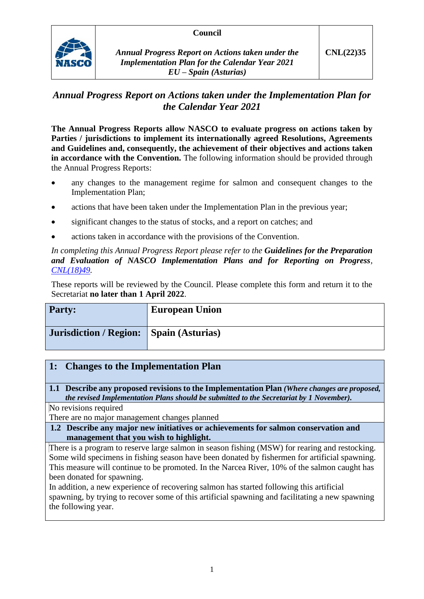## **Council**



*Annual Progress Report on Actions taken under the Implementation Plan for the Calendar Year 2021 EU – Spain (Asturias)*

# *Annual Progress Report on Actions taken under the Implementation Plan for the Calendar Year 2021*

**The Annual Progress Reports allow NASCO to evaluate progress on actions taken by Parties / jurisdictions to implement its internationally agreed Resolutions, Agreements and Guidelines and, consequently, the achievement of their objectives and actions taken in accordance with the Convention.** The following information should be provided through the Annual Progress Reports:

- any changes to the management regime for salmon and consequent changes to the Implementation Plan;
- actions that have been taken under the Implementation Plan in the previous year;
- significant changes to the status of stocks, and a report on catches; and
- actions taken in accordance with the provisions of the Convention.

*In completing this Annual Progress Report please refer to the Guidelines for the Preparation and Evaluation of NASCO Implementation Plans and for Reporting on Progress, [CNL\(18\)49.](https://nasco.int/wp-content/uploads/2020/02/CNL1849_Guidelines-for-the-Preparation-and-Evaluation-of-NASCO-Implementation-Plans-and-for-Reporting-on-Progress.pdf)*

These reports will be reviewed by the Council. Please complete this form and return it to the Secretariat **no later than 1 April 2022**.

| <b>Party:</b>                           | <b>European Union</b> |
|-----------------------------------------|-----------------------|
| Jurisdiction / Region: Spain (Asturias) |                       |

## **1: Changes to the Implementation Plan**

**1.1 Describe any proposed revisions to the Implementation Plan** *(Where changes are proposed, the revised Implementation Plans should be submitted to the Secretariat by 1 November).*

No revisions required

There are no major management changes planned

**1.2 Describe any major new initiatives or achievements for salmon conservation and management that you wish to highlight.**

There is a program to reserve large salmon in season fishing (MSW) for rearing and restocking. Some wild specimens in fishing season have been donated by fishermen for artificial spawning. This measure will continue to be promoted. In the Narcea River, 10% of the salmon caught has been donated for spawning.

In addition, a new experience of recovering salmon has started following this artificial spawning, by trying to recover some of this artificial spawning and facilitating a new spawning the following year.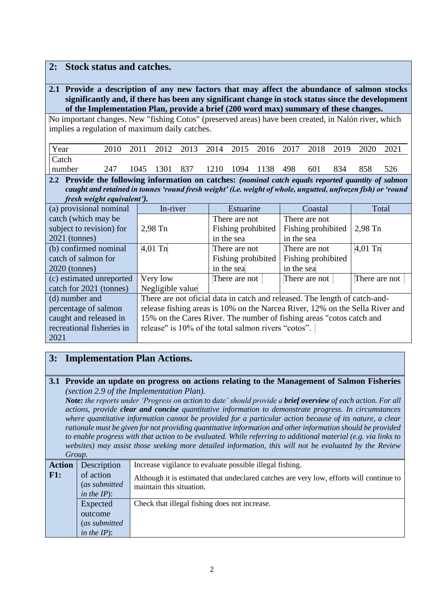## **2: Stock status and catches.**

**2.1 Provide a description of any new factors that may affect the abundance of salmon stocks significantly and, if there has been any significant change in stock status since the development of the Implementation Plan, provide a brief (200 word max) summary of these changes.**

No important changes. New "fishing Cotos" (preserved areas) have been created, in Nalón river, which implies a regulation of maximum daily catches.

| Year   |     |               |  |                | 2010 2011 2012 2013 2014 2015 2016 2017 2018 2019 |     |     |      | 2020 | 2021 |
|--------|-----|---------------|--|----------------|---------------------------------------------------|-----|-----|------|------|------|
| Catch  |     |               |  |                |                                                   |     |     |      |      |      |
| number | 247 | 1045 1301 837 |  | 1210 1094 1138 |                                                   | 498 | 601 | -834 | 858  | 526  |

**2.2 Provide the following information on catches:** *(nominal catch equals reported quantity of salmon caught and retained in tonnes 'round fresh weight' (i.e. weight of whole, ungutted, unfrozen fish) or 'round fresh weight equivalent').*

| (a) provisional nominal   | In-river                                                                     | Estuarine          | Coastal            | Total         |
|---------------------------|------------------------------------------------------------------------------|--------------------|--------------------|---------------|
| catch (which may be       |                                                                              | There are not      | There are not      |               |
| subject to revision) for  | $2,98$ Tn                                                                    | Fishing prohibited | Fishing prohibited | $2,98$ Tn     |
| $2021$ (tonnes)           |                                                                              | in the sea         | in the sea         |               |
| (b) confirmed nominal     | $4,01$ Tn                                                                    | There are not      | There are not      | $4,01$ Tn     |
| catch of salmon for       |                                                                              | Fishing prohibited | Fishing prohibited |               |
| $2020$ (tonnes)           |                                                                              | in the sea         | in the sea         |               |
| (c) estimated unreported  | Very low                                                                     | There are not      | There are not      | There are not |
| catch for 2021 (tonnes)   | Negligible value                                                             |                    |                    |               |
| (d) number and            | There are not oficial data in catch and released. The length of catch-and-   |                    |                    |               |
| percentage of salmon      | release fishing areas is 10% on the Narcea River, 12% on the Sella River and |                    |                    |               |
| caught and released in    | 15% on the Cares River. The number of fishing areas "cotos catch and         |                    |                    |               |
| recreational fisheries in | release" is 10% of the total salmon rivers "cotos".                          |                    |                    |               |
| 2021                      |                                                                              |                    |                    |               |

# **3: Implementation Plan Actions.**

#### **3.1 Provide an update on progress on actions relating to the Management of Salmon Fisheries**  *(section 2.9 of the Implementation Plan).*

*Note: the reports under 'Progress on action to date' should provide a brief overview of each action. For all actions, provide clear and concise quantitative information to demonstrate progress. In circumstances where quantitative information cannot be provided for a particular action because of its nature, a clear rationale must be given for not providing quantitative information and other information should be provided to enable progress with that action to be evaluated. While referring to additional material (e.g. via links to websites) may assist those seeking more detailed information, this will not be evaluated by the Review Group.*

| <b>Action</b> | Description                                  | Increase vigilance to evaluate possible illegal fishing.                                                            |
|---------------|----------------------------------------------|---------------------------------------------------------------------------------------------------------------------|
| F1:           | of action<br>(as submitted<br>in the $IP$ ): | Although it is estimated that undeclared catches are very low, efforts will continue to<br>maintain this situation. |
|               | Expected                                     | Check that illegal fishing does not increase.                                                                       |
|               | outcome                                      |                                                                                                                     |
|               | (as submitted                                |                                                                                                                     |
|               | in the $IP$ ):                               |                                                                                                                     |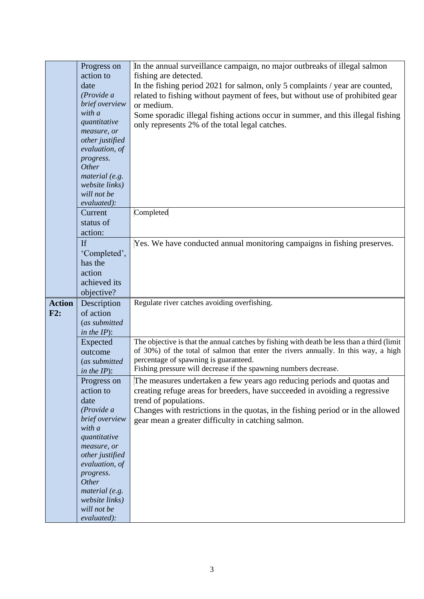|               | Progress on                | In the annual surveillance campaign, no major outbreaks of illegal salmon                  |
|---------------|----------------------------|--------------------------------------------------------------------------------------------|
|               | action to                  | fishing are detected.                                                                      |
|               | date                       | In the fishing period 2021 for salmon, only 5 complaints / year are counted,               |
|               |                            |                                                                                            |
|               | (Provide a                 | related to fishing without payment of fees, but without use of prohibited gear             |
|               | brief overview             | or medium.                                                                                 |
|               | with a                     | Some sporadic illegal fishing actions occur in summer, and this illegal fishing            |
|               | quantitative               |                                                                                            |
|               | measure, or                | only represents 2% of the total legal catches.                                             |
|               |                            |                                                                                            |
|               | other justified            |                                                                                            |
|               | evaluation, of             |                                                                                            |
|               | progress.                  |                                                                                            |
|               | Other                      |                                                                                            |
|               | material (e.g.             |                                                                                            |
|               | website links)             |                                                                                            |
|               | will not be                |                                                                                            |
|               |                            |                                                                                            |
|               | evaluated):                |                                                                                            |
|               | Current                    | Completed                                                                                  |
|               | status of                  |                                                                                            |
|               | action:                    |                                                                                            |
|               |                            |                                                                                            |
|               | If                         | Yes. We have conducted annual monitoring campaigns in fishing preserves.                   |
|               | 'Completed',               |                                                                                            |
|               | has the                    |                                                                                            |
|               | action                     |                                                                                            |
|               |                            |                                                                                            |
|               | achieved its               |                                                                                            |
|               | objective?                 |                                                                                            |
|               |                            |                                                                                            |
|               |                            |                                                                                            |
| <b>Action</b> | Description                | Regulate river catches avoiding overfishing.                                               |
| F2:           | of action                  |                                                                                            |
|               | (as submitted              |                                                                                            |
|               | in the $IP$ ):             |                                                                                            |
|               | Expected                   | The objective is that the annual catches by fishing with death be less than a third (limit |
|               | outcome                    | of 30%) of the total of salmon that enter the rivers annually. In this way, a high         |
|               |                            |                                                                                            |
|               | (as submitted              | percentage of spawning is guaranteed.                                                      |
|               | in the $IP$ :              | Fishing pressure will decrease if the spawning numbers decrease.                           |
|               | Progress on                | The measures undertaken a few years ago reducing periods and quotas and                    |
|               | action to                  | creating refuge areas for breeders, have succeeded in avoiding a regressive                |
|               | date                       |                                                                                            |
|               |                            | trend of populations.                                                                      |
|               | (Provide a                 | Changes with restrictions in the quotas, in the fishing period or in the allowed           |
|               | brief overview             | gear mean a greater difficulty in catching salmon.                                         |
|               | with a                     |                                                                                            |
|               | quantitative               |                                                                                            |
|               | measure, or                |                                                                                            |
|               | other justified            |                                                                                            |
|               | evaluation, of             |                                                                                            |
|               | progress.                  |                                                                                            |
|               | Other                      |                                                                                            |
|               |                            |                                                                                            |
|               | material (e.g.             |                                                                                            |
|               | website links)             |                                                                                            |
|               | will not be<br>evaluated): |                                                                                            |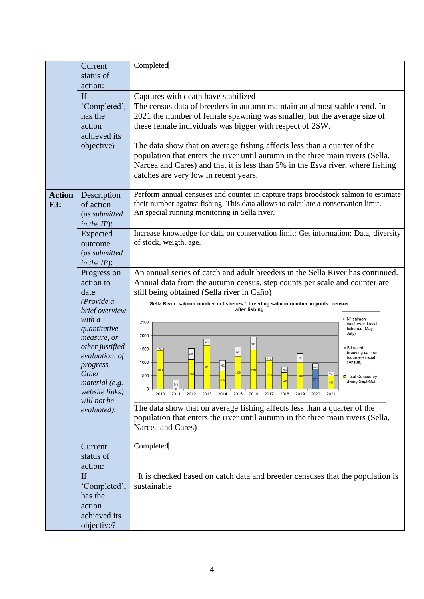|                                                                                                                                                                                                                                                                                                                                                                                                                                                                                                                                                                                                                           | Current<br>status of<br>action:                                                                                                                                                                                                               | Completed                                                                                                                                                                                                                                                                                                                                                                                                                                                                                                                                                                                                                                                                                                                                                                                                                                                                                                                 |
|---------------------------------------------------------------------------------------------------------------------------------------------------------------------------------------------------------------------------------------------------------------------------------------------------------------------------------------------------------------------------------------------------------------------------------------------------------------------------------------------------------------------------------------------------------------------------------------------------------------------------|-----------------------------------------------------------------------------------------------------------------------------------------------------------------------------------------------------------------------------------------------|---------------------------------------------------------------------------------------------------------------------------------------------------------------------------------------------------------------------------------------------------------------------------------------------------------------------------------------------------------------------------------------------------------------------------------------------------------------------------------------------------------------------------------------------------------------------------------------------------------------------------------------------------------------------------------------------------------------------------------------------------------------------------------------------------------------------------------------------------------------------------------------------------------------------------|
| If<br>Captures with death have stabilized<br>The census data of breeders in autumn maintain an almost stable trend. In<br>'Completed',<br>2021 the number of female spawning was smaller, but the average size of<br>has the<br>these female individuals was bigger with respect of 2SW.<br>action<br>achieved its<br>objective?<br>The data show that on average fishing affects less than a quarter of the<br>population that enters the river until autumn in the three main rivers (Sella,<br>Narcea and Cares) and that it is less than 5% in the Esva river, where fishing<br>catches are very low in recent years. |                                                                                                                                                                                                                                               |                                                                                                                                                                                                                                                                                                                                                                                                                                                                                                                                                                                                                                                                                                                                                                                                                                                                                                                           |
| <b>Action</b><br><b>F3:</b>                                                                                                                                                                                                                                                                                                                                                                                                                                                                                                                                                                                               | Description<br>of action<br>(as submitted<br>in the $IP$ :                                                                                                                                                                                    | Perform annual censuses and counter in capture traps broodstock salmon to estimate<br>their number against fishing. This data allows to calculate a conservation limit.<br>An special running monitoring in Sella river.                                                                                                                                                                                                                                                                                                                                                                                                                                                                                                                                                                                                                                                                                                  |
|                                                                                                                                                                                                                                                                                                                                                                                                                                                                                                                                                                                                                           | Expected<br>outcome<br>(as submitted<br>in the $IP$ ):                                                                                                                                                                                        | Increase knowledge for data on conservation limit: Get information: Data, diversity<br>of stock, weigth, age.                                                                                                                                                                                                                                                                                                                                                                                                                                                                                                                                                                                                                                                                                                                                                                                                             |
|                                                                                                                                                                                                                                                                                                                                                                                                                                                                                                                                                                                                                           | Progress on<br>action to<br>date<br>(Provide a<br>brief overview<br>with a<br>quantitative<br>measure, or<br>other justified<br>evaluation, of<br>progress.<br><b>Other</b><br>material (e.g.<br>website links)<br>will not be<br>evaluated): | An annual series of catch and adult breeders in the Sella River has continued.<br>Annual data from the autumn census, step counts per scale and counter are<br>still being obtained (Sella river in Caño)<br>Sella River: salmon number in fisheries / breeding salmon number in pools: census<br>after fishing<br>$\square$ N <sup>o</sup> salmon<br>2500<br>catches in fluvial<br>fisheries (May-<br>July)<br>2000<br>248<br>484<br><b>■ Stimated</b><br>1500<br>breeding salmon<br>416<br>(counter+visual<br>319<br>148<br>1000<br>census)<br>392<br>225<br>631<br>203<br>150<br>500<br>□ Total Census by<br>diving Sept-Oct<br>340<br>2011<br>2013<br>2014<br>2015<br>2016<br>2017<br>2018<br>2012<br>2019<br>2020<br>2021<br>2010<br>The data show that on average fishing affects less than a quarter of the<br>population that enters the river until autumn in the three main rivers (Sella,<br>Narcea and Cares) |
|                                                                                                                                                                                                                                                                                                                                                                                                                                                                                                                                                                                                                           | Current<br>status of<br>action:<br>If                                                                                                                                                                                                         | Completed<br>It is checked based on catch data and breeder censuses that the population is                                                                                                                                                                                                                                                                                                                                                                                                                                                                                                                                                                                                                                                                                                                                                                                                                                |
|                                                                                                                                                                                                                                                                                                                                                                                                                                                                                                                                                                                                                           | 'Completed',<br>has the<br>action<br>achieved its<br>objective?                                                                                                                                                                               | sustainable                                                                                                                                                                                                                                                                                                                                                                                                                                                                                                                                                                                                                                                                                                                                                                                                                                                                                                               |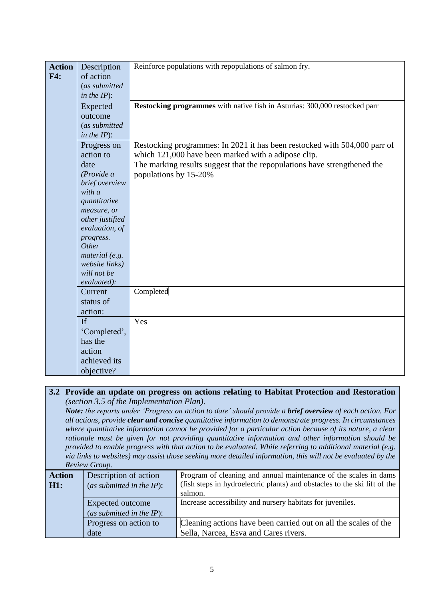| <b>Action</b> | Description                      | Reinforce populations with repopulations of salmon fry.                    |
|---------------|----------------------------------|----------------------------------------------------------------------------|
| F4:           | of action                        |                                                                            |
|               | (as submitted                    |                                                                            |
|               | in the $IP$ :                    |                                                                            |
|               | Expected                         | Restocking programmes with native fish in Asturias: 300,000 restocked parr |
|               | outcome                          |                                                                            |
|               | (as submitted                    |                                                                            |
|               | in the $IP$ :                    |                                                                            |
|               | Progress on                      | Restocking programmes: In 2021 it has been restocked with 504,000 parr of  |
|               | action to                        | which 121,000 have been marked with a adipose clip.                        |
|               | date                             | The marking results suggest that the repopulations have strengthened the   |
|               | (Provide a                       | populations by 15-20%                                                      |
|               | brief overview                   |                                                                            |
|               | with a                           |                                                                            |
|               | quantitative                     |                                                                            |
|               | measure, or                      |                                                                            |
|               | other justified                  |                                                                            |
|               | evaluation, of                   |                                                                            |
|               | progress.                        |                                                                            |
|               | Other                            |                                                                            |
|               | material (e.g.<br>website links) |                                                                            |
|               | will not be                      |                                                                            |
|               | evaluated):                      |                                                                            |
|               | Current                          | Completed                                                                  |
|               | status of                        |                                                                            |
|               | action:                          |                                                                            |
|               | <b>If</b>                        | Yes                                                                        |
|               | 'Completed',                     |                                                                            |
|               | has the                          |                                                                            |
|               | action                           |                                                                            |
|               | achieved its                     |                                                                            |
|               | objective?                       |                                                                            |

#### **3.2 Provide an update on progress on actions relating to Habitat Protection and Restoration**  *(section 3.5 of the Implementation Plan).*

*Note: the reports under 'Progress on action to date' should provide a brief overview of each action. For all actions, provide clear and concise quantitative information to demonstrate progress. In circumstances where quantitative information cannot be provided for a particular action because of its nature, a clear rationale must be given for not providing quantitative information and other information should be provided to enable progress with that action to be evaluated. While referring to additional material (e.g. via links to websites) may assist those seeking more detailed information, this will not be evaluated by the Review Group.*

| <b>Action</b><br>H1: | Description of action<br>(as submitted in the $IP$ ): | Program of cleaning and annual maintenance of the scales in dams<br>(fish steps in hydroelectric plants) and obstacles to the ski lift of the<br>salmon. |
|----------------------|-------------------------------------------------------|----------------------------------------------------------------------------------------------------------------------------------------------------------|
|                      | Expected outcome<br>(as submitted in the $IP$ ):      | Increase accessibility and nursery habitats for juveniles.                                                                                               |
|                      | Progress on action to<br>date                         | Cleaning actions have been carried out on all the scales of the<br>Sella, Narcea, Esva and Cares rivers.                                                 |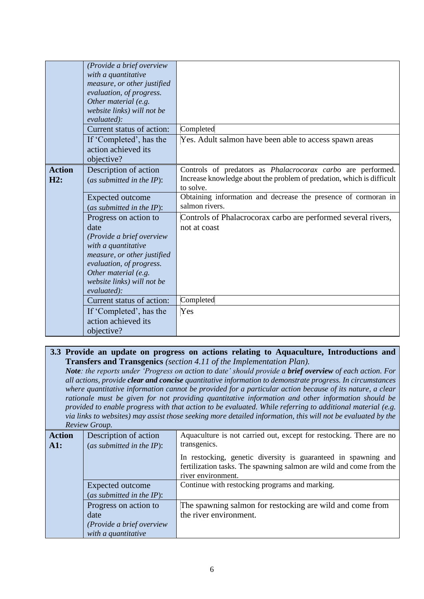|                      | (Provide a brief overview<br>with a quantitative<br>measure, or other justified<br>evaluation, of progress.<br>Other material (e.g.<br>website links) will not be<br>evaluated):<br>Current status of action:<br>If 'Completed', has the<br>action achieved its<br>objective?                                                      | Completed<br>Yes. Adult salmon have been able to access spawn areas                                                                                                                                                                                                                                                    |
|----------------------|------------------------------------------------------------------------------------------------------------------------------------------------------------------------------------------------------------------------------------------------------------------------------------------------------------------------------------|------------------------------------------------------------------------------------------------------------------------------------------------------------------------------------------------------------------------------------------------------------------------------------------------------------------------|
| <b>Action</b><br>H2: | Description of action<br>(as submitted in the IP):<br><b>Expected outcome</b><br>(as submitted in the $IP$ ):<br>Progress on action to<br>date<br>(Provide a brief overview<br>with a quantitative<br>measure, or other justified<br>evaluation, of progress.<br>Other material (e.g.<br>website links) will not be<br>evaluated): | Controls of predators as Phalacrocorax carbo are performed.<br>Increase knowledge about the problem of predation, which is difficult<br>to solve.<br>Obtaining information and decrease the presence of cormoran in<br>salmon rivers.<br>Controls of Phalacrocorax carbo are performed several rivers,<br>not at coast |
|                      | Current status of action:<br>If 'Completed', has the<br>action achieved its<br>objective?                                                                                                                                                                                                                                          | Completed<br>Yes                                                                                                                                                                                                                                                                                                       |

### **3.3 Provide an update on progress on actions relating to Aquaculture, Introductions and Transfers and Transgenics** *(section 4.11 of the Implementation Plan).*

*Note: the reports under 'Progress on action to date' should provide a brief overview of each action. For all actions, provide clear and concise quantitative information to demonstrate progress. In circumstances where quantitative information cannot be provided for a particular action because of its nature, a clear rationale must be given for not providing quantitative information and other information should be provided to enable progress with that action to be evaluated. While referring to additional material (e.g. via links to websites) may assist those seeking more detailed information, this will not be evaluated by the Review Group.*

| <b>Action</b><br>A1: | Description of action<br>(as submitted in the $IP$ ):                             | Aquaculture is not carried out, except for restocking. There are no<br>transgenics.                                                                         |
|----------------------|-----------------------------------------------------------------------------------|-------------------------------------------------------------------------------------------------------------------------------------------------------------|
|                      |                                                                                   | In restocking, genetic diversity is guaranteed in spawning and<br>fertilization tasks. The spawning salmon are wild and come from the<br>river environment. |
|                      | Expected outcome<br>(as submitted in the $IP$ ):                                  | Continue with restocking programs and marking.                                                                                                              |
|                      | Progress on action to<br>date<br>(Provide a brief overview<br>with a quantitative | The spawning salmon for restocking are wild and come from<br>the river environment.                                                                         |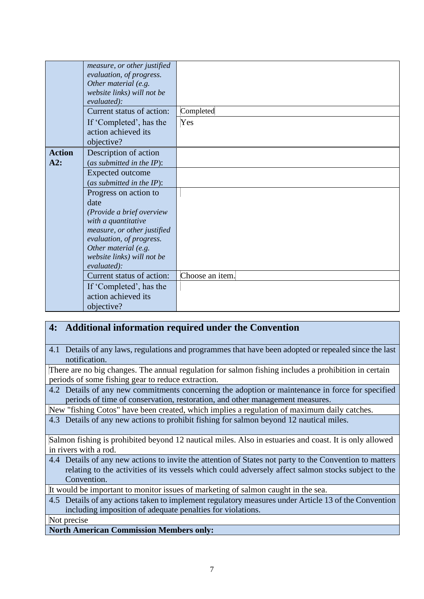|                      | measure, or other justified<br>evaluation, of progress.<br>Other material (e.g.<br>website links) will not be<br>evaluated):<br>Current status of action:<br>If 'Completed', has the | Completed<br>Yes |
|----------------------|--------------------------------------------------------------------------------------------------------------------------------------------------------------------------------------|------------------|
|                      | action achieved its<br>objective?                                                                                                                                                    |                  |
| <b>Action</b><br>A2: | Description of action<br>(as submitted in the IP):                                                                                                                                   |                  |
|                      | <b>Expected outcome</b><br>(as submitted in the IP):                                                                                                                                 |                  |
|                      | Progress on action to<br>date<br>(Provide a brief overview<br>with a quantitative<br>measure, or other justified                                                                     |                  |
|                      | evaluation, of progress.<br>Other material (e.g.<br>website links) will not be<br>evaluated):                                                                                        |                  |
|                      | Current status of action:                                                                                                                                                            | Choose an item.  |
|                      | If 'Completed', has the<br>action achieved its<br>objective?                                                                                                                         |                  |

## **4: Additional information required under the Convention**

4.1 Details of any laws, regulations and programmes that have been adopted or repealed since the last notification.

There are no big changes. The annual regulation for salmon fishing includes a prohibition in certain periods of some fishing gear to reduce extraction.

4.2 Details of any new commitments concerning the adoption or maintenance in force for specified periods of time of conservation, restoration, and other management measures.

New "fishing Cotos" have been created, which implies a regulation of maximum daily catches.

4.3 Details of any new actions to prohibit fishing for salmon beyond 12 nautical miles.

Salmon fishing is prohibited beyond 12 nautical miles. Also in estuaries and coast. It is only allowed in rivers with a rod.

4.4 Details of any new actions to invite the attention of States not party to the Convention to matters relating to the activities of its vessels which could adversely affect salmon stocks subject to the Convention.

It would be important to monitor issues of marketing of salmon caught in the sea.

4.5 Details of any actions taken to implement regulatory measures under Article 13 of the Convention including imposition of adequate penalties for violations.

Not precise

**North American Commission Members only:**